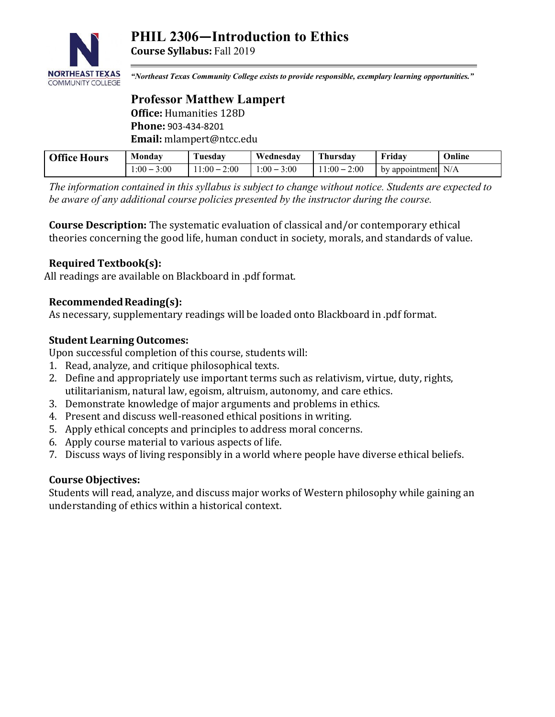

**Course Syllabus:** Fall 2019

*"Northeast Texas Community College exists to provide responsible, exemplary learning opportunities."*

# **Professor Matthew Lampert Office:** Humanities 128D **Phone:** 903-434-8201 **Email:** mlampert@ntcc.edu

| <b>Office Hours</b> | Monday         | Tuesday          | Wednesday        | Thursday              | Friday               | Online |
|---------------------|----------------|------------------|------------------|-----------------------|----------------------|--------|
|                     | 3:00<br>$:00-$ | 2:00<br>$1:00-1$ | $1:00 -$<br>3:00 | 2:00<br>$11:00 - 2$ . | by appointment $N/A$ |        |

*The information contained in this syllabus is subject to change without notice. Students are expected to be aware of any additional course policies presented by the instructor during the course.*

**Course Description:** The systematic evaluation of classical and/or contemporary ethical theories concerning the good life, human conduct in society, morals, and standards of value.

# **Required Textbook(s):**

All readings are available on Blackboard in .pdf format.

# **Recommended Reading(s):**

As necessary, supplementary readings will be loaded onto Blackboard in .pdf format.

# **Student Learning Outcomes:**

Upon successful completion of this course, students will:

- 1. Read, analyze, and critique philosophical texts.
- 2. Define and appropriately use important terms such as relativism, virtue, duty, rights, utilitarianism, natural law, egoism, altruism, autonomy, and care ethics.
- 3. Demonstrate knowledge of major arguments and problems in ethics.
- 4. Present and discuss well-reasoned ethical positions in writing.
- 5. Apply ethical concepts and principles to address moral concerns.
- 6. Apply course material to various aspects of life.
- 7. Discuss ways of living responsibly in a world where people have diverse ethical beliefs.

### **Course Objectives:**

Students will read, analyze, and discuss major works of Western philosophy while gaining an understanding of ethics within a historical context.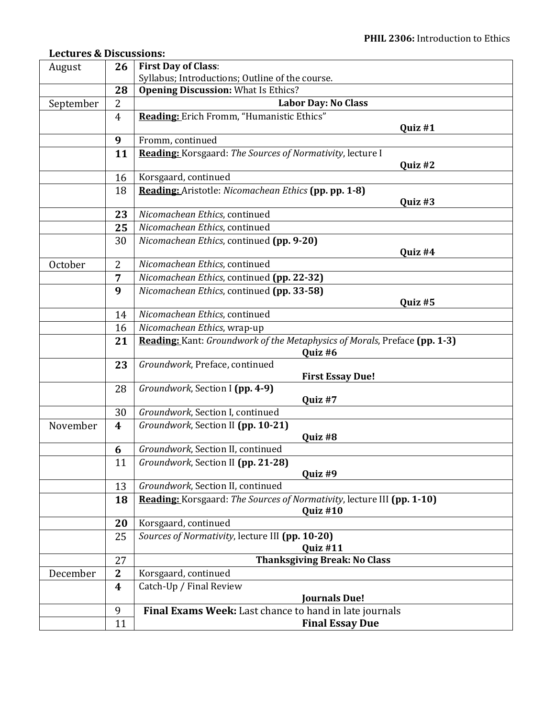# **Lectures & Discussions:**

| August    | 26             | <b>First Day of Class:</b>                                                           |  |  |  |  |
|-----------|----------------|--------------------------------------------------------------------------------------|--|--|--|--|
|           |                | Syllabus; Introductions; Outline of the course.                                      |  |  |  |  |
|           | 28             | <b>Opening Discussion: What Is Ethics?</b>                                           |  |  |  |  |
| September | $\overline{2}$ | <b>Labor Day: No Class</b>                                                           |  |  |  |  |
|           | 4              | Reading: Erich Fromm, "Humanistic Ethics"<br>Quiz #1                                 |  |  |  |  |
|           | 9              | Fromm, continued                                                                     |  |  |  |  |
|           | 11             | Reading: Korsgaard: The Sources of Normativity, lecture I                            |  |  |  |  |
|           |                | Quiz #2                                                                              |  |  |  |  |
|           | 16             | Korsgaard, continued                                                                 |  |  |  |  |
|           | 18             | Reading: Aristotle: Nicomachean Ethics (pp. pp. 1-8)                                 |  |  |  |  |
|           |                | Quiz #3                                                                              |  |  |  |  |
|           | 23             | Nicomachean Ethics, continued                                                        |  |  |  |  |
|           | 25             | Nicomachean Ethics, continued                                                        |  |  |  |  |
|           | 30             | Nicomachean Ethics, continued (pp. 9-20)                                             |  |  |  |  |
|           |                | Quiz #4                                                                              |  |  |  |  |
| October   | 2              | Nicomachean Ethics, continued                                                        |  |  |  |  |
|           | $\overline{7}$ | Nicomachean Ethics, continued (pp. 22-32)                                            |  |  |  |  |
|           | 9              | Nicomachean Ethics, continued (pp. 33-58)                                            |  |  |  |  |
|           |                | Quiz #5                                                                              |  |  |  |  |
|           | 14             | Nicomachean Ethics, continued                                                        |  |  |  |  |
|           | 16             | Nicomachean Ethics, wrap-up                                                          |  |  |  |  |
|           | 21             | Reading: Kant: Groundwork of the Metaphysics of Morals, Preface (pp. 1-3)<br>Quiz #6 |  |  |  |  |
|           | 23             | Groundwork, Preface, continued                                                       |  |  |  |  |
|           |                | <b>First Essay Due!</b>                                                              |  |  |  |  |
|           | 28             | Groundwork, Section I (pp. 4-9)                                                      |  |  |  |  |
|           |                | Quiz #7                                                                              |  |  |  |  |
|           | 30             | Groundwork, Section I, continued<br>Groundwork, Section II (pp. 10-21)               |  |  |  |  |
| November  | 4              | Quiz #8                                                                              |  |  |  |  |
|           | 6              | Groundwork, Section II, continued                                                    |  |  |  |  |
|           | 11             | Groundwork, Section II (pp. 21-28)                                                   |  |  |  |  |
|           |                | Quiz #9                                                                              |  |  |  |  |
|           | 13             | Groundwork, Section II, continued                                                    |  |  |  |  |
|           | 18             | Reading: Korsgaard: The Sources of Normativity, lecture III (pp. 1-10)               |  |  |  |  |
|           |                | Quiz #10                                                                             |  |  |  |  |
|           | 20             | Korsgaard, continued                                                                 |  |  |  |  |
|           | 25             | Sources of Normativity, lecture III (pp. 10-20)<br>Quiz #11                          |  |  |  |  |
|           | 27             | <b>Thanksgiving Break: No Class</b>                                                  |  |  |  |  |
| December  | $\mathbf{2}$   | Korsgaard, continued                                                                 |  |  |  |  |
|           | 4              | Catch-Up / Final Review                                                              |  |  |  |  |
|           |                | <b>Journals Due!</b>                                                                 |  |  |  |  |
|           | 9              | Final Exams Week: Last chance to hand in late journals                               |  |  |  |  |
|           | 11             | <b>Final Essay Due</b>                                                               |  |  |  |  |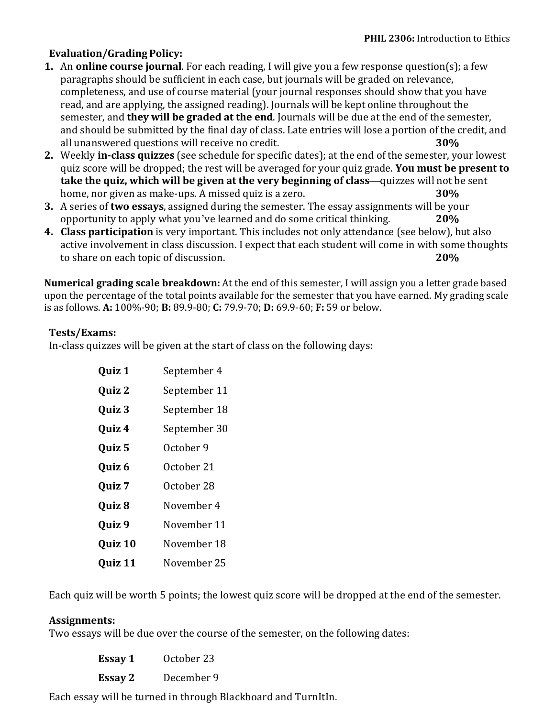# **Evaluation/Grading Policy:**

- **1.** An **online course journal**. For each reading, I will give you a few response question(s); a few paragraphs should be sufficient in each case, but journals will be graded on relevance, completeness, and use of course material (your journal responses should show that you have read, and are applying, the assigned reading). Journals will be kept online throughout the semester, and **they will be graded at the end**. Journals will be due at the end of the semester, and should be submitted by the final day of class. Late entries will lose a portion of the credit, and all unanswered questions will receive no credit. **30%**
- **2.** Weekly **in-class quizzes** (see schedule for specific dates); at the end of the semester, your lowest quiz score will be dropped; the rest will be averaged for your quiz grade. **You must be present to take the quiz, which will be given at the very beginning of class**—quizzes will not be sent home, nor given as make-ups. A missed quiz is a zero. **30%**
- **3.** A series of **two essays**, assigned during the semester. The essay assignments will be your opportunity to apply what you've learned and do some critical thinking. **20%**
- **4. Class participation** is very important. This includes not only attendance (see below), but also active involvement in class discussion. I expect that each student will come in with some thoughts to share on each topic of discussion. **20%**

**Numerical grading scale breakdown:** At the end of this semester, I will assign you a letter grade based upon the percentage of the total points available for the semester that you have earned. My grading scale is as follows. **A:** 100%-90; **B:** 89.9-80; **C:** 79.9-70; **D:** 69.9-60; **F:** 59 or below.

# **Tests/Exams:**

In-class quizzes will be given at the start of class on the following days:

| Quiz 1  | September 4  |
|---------|--------------|
| Quiz 2  | September 11 |
| Quiz 3  | September 18 |
| Quiz 4  | September 30 |
| Quiz 5  | October 9    |
| Quiz 6  | October 21   |
| Quiz 7  | October 28   |
| Quiz 8  | November 4   |
| Quiz 9  | November 11  |
| Quiz 10 | November 18  |
| Quiz 11 | November 25  |

Each quiz will be worth 5 points; the lowest quiz score will be dropped at the end of the semester.

### **Assignments:**

Two essays will be due over the course of the semester, on the following dates:

| Essay 1 | October 23 |
|---------|------------|
| Essay 2 | December 9 |

Each essay will be turned in through Blackboard and TurnItIn.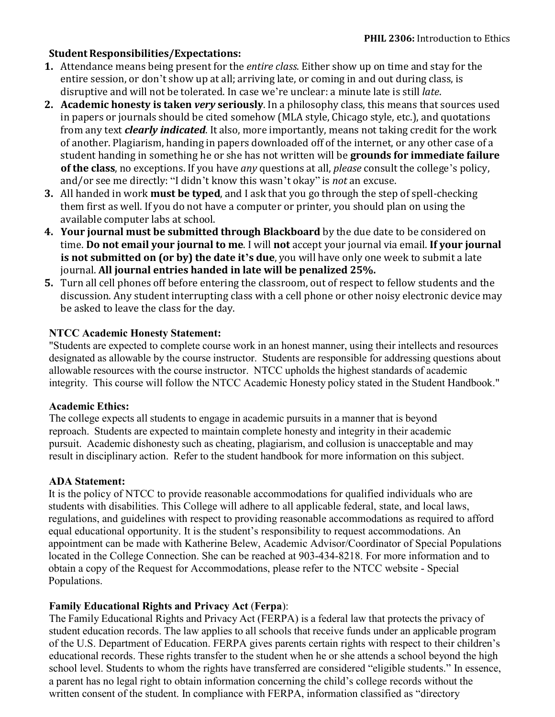# **Student Responsibilities/Expectations:**

- **1.** Attendance means being present for the *entire class*. Either show up on time and stay for the entire session, or don't show up at all; arriving late, or coming in and out during class, is disruptive and will not be tolerated. In case we're unclear: a minute late is still *late*.
- **2. Academic honesty is taken** *very* **seriously**. In a philosophy class, this means that sources used in papers or journals should be cited somehow (MLA style, Chicago style, etc.), and quotations from any text *clearly indicated*. It also, more importantly, means not taking credit for the work of another. Plagiarism, handing in papers downloaded off of the internet, or any other case of a student handing in something he or she has not written will be **grounds for immediate failure of the class**, no exceptions. If you have *any* questions at all, *please* consult the college's policy, and/or see me directly: "I didn't know this wasn't okay" is *not* an excuse.
- **3.** All handed in work **must be typed**, and I ask that you go through the step of spell-checking them first as well. If you do not have a computer or printer, you should plan on using the available computer labs at school.
- **4. Your journal must be submitted through Blackboard** by the due date to be considered on time. **Do not email your journal to me**. I will **not** accept your journal via email. **If your journal is not submitted on (or by) the date it's due**, you will have only one week to submit a late journal. **All journal entries handed in late will be penalized 25%.**
- **5.** Turn all cell phones off before entering the classroom, out of respect to fellow students and the discussion. Any student interrupting class with a cell phone or other noisy electronic device may be asked to leave the class for the day.

# **NTCC Academic Honesty Statement:**

"Students are expected to complete course work in an honest manner, using their intellects and resources designated as allowable by the course instructor. Students are responsible for addressing questions about allowable resources with the course instructor. NTCC upholds the highest standards of academic integrity. This course will follow the NTCC Academic Honesty policy stated in the Student Handbook."

### **Academic Ethics:**

The college expects all students to engage in academic pursuits in a manner that is beyond reproach. Students are expected to maintain complete honesty and integrity in their academic pursuit. Academic dishonesty such as cheating, plagiarism, and collusion is unacceptable and may result in disciplinary action. Refer to the student handbook for more information on this subject.

### **ADA Statement:**

It is the policy of NTCC to provide reasonable accommodations for qualified individuals who are students with disabilities. This College will adhere to all applicable federal, state, and local laws, regulations, and guidelines with respect to providing reasonable accommodations as required to afford equal educational opportunity. It is the student's responsibility to request accommodations. An appointment can be made with Katherine Belew, Academic Advisor/Coordinator of Special Populations located in the College Connection. She can be reached at 903-434-8218. For more information and to obtain a copy of the Request for Accommodations, please refer to the NTCC website - Special Populations.

### **Family Educational Rights and Privacy Act** (**Ferpa**):

The Family Educational Rights and Privacy Act (FERPA) is a federal law that protects the privacy of student education records. The law applies to all schools that receive funds under an applicable program of the U.S. Department of Education. FERPA gives parents certain rights with respect to their children's educational records. These rights transfer to the student when he or she attends a school beyond the high school level. Students to whom the rights have transferred are considered "eligible students." In essence, a parent has no legal right to obtain information concerning the child's college records without the written consent of the student. In compliance with FERPA, information classified as "directory